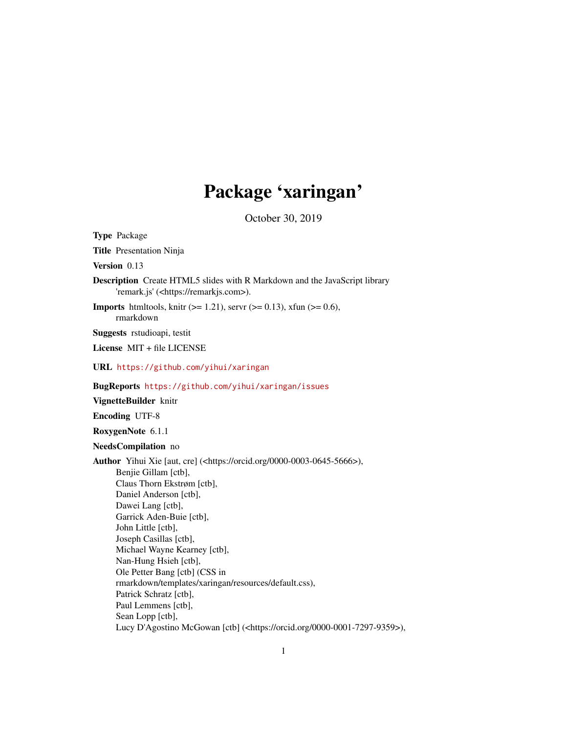## Package 'xaringan'

October 30, 2019

<span id="page-0-0"></span>Type Package Title Presentation Ninja Version 0.13 Description Create HTML5 slides with R Markdown and the JavaScript library 'remark.js' (<https://remarkjs.com>). **Imports** htmltools, knitr ( $> = 1.21$ ), servr ( $> = 0.13$ ), xfun ( $> = 0.6$ ), rmarkdown Suggests rstudioapi, testit License MIT + file LICENSE URL <https://github.com/yihui/xaringan> BugReports <https://github.com/yihui/xaringan/issues> VignetteBuilder knitr Encoding UTF-8 RoxygenNote 6.1.1 NeedsCompilation no Author Yihui Xie [aut, cre] (<https://orcid.org/0000-0003-0645-5666>), Benjie Gillam [ctb], Claus Thorn Ekstrøm [ctb], Daniel Anderson [ctb], Dawei Lang [ctb], Garrick Aden-Buie [ctb], John Little [ctb], Joseph Casillas [ctb], Michael Wayne Kearney [ctb], Nan-Hung Hsieh [ctb], Ole Petter Bang [ctb] (CSS in rmarkdown/templates/xaringan/resources/default.css), Patrick Schratz [ctb], Paul Lemmens [ctb], Sean Lopp [ctb], Lucy D'Agostino McGowan [ctb] (<https://orcid.org/0000-0001-7297-9359>),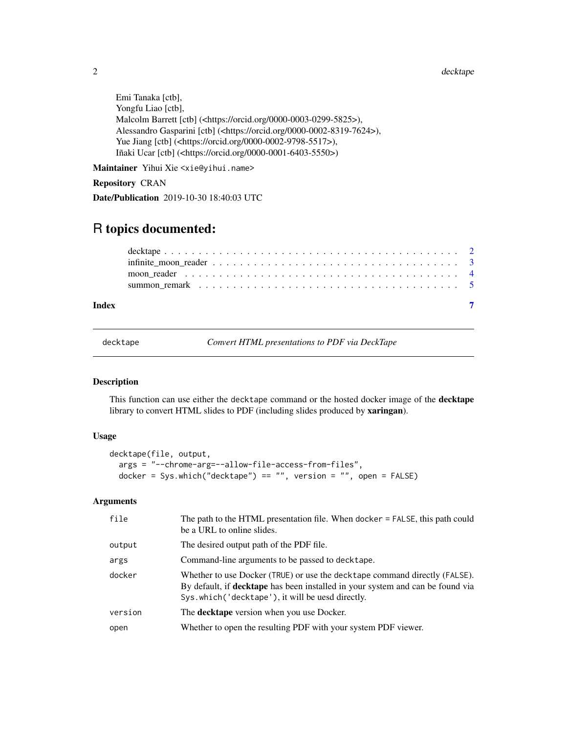2 decktape by the control of the control of the control of the control of the control of the control of the control of the control of the control of the control of the control of the control of the control of the control o

```
Emi Tanaka [ctb],
Yongfu Liao [ctb],
Malcolm Barrett [ctb] (<https://orcid.org/0000-0003-0299-5825>),
Alessandro Gasparini [ctb] (<https://orcid.org/0000-0002-8319-7624>),
Yue Jiang [ctb] (<https://orcid.org/0000-0002-9798-5517>),
Iñaki Ucar [ctb] (<https://orcid.org/0000-0001-6403-5550>)
```
Maintainer Yihui Xie <xie@yihui.name>

## Repository CRAN

Date/Publication 2019-10-30 18:40:03 UTC

## R topics documented:

| Index |  |
|-------|--|

decktape *Convert HTML presentations to PDF via DeckTape*

## Description

This function can use either the decktape command or the hosted docker image of the **decktape** library to convert HTML slides to PDF (including slides produced by xaringan).

## Usage

```
decktape(file, output,
 args = "--chrome-arg=--allow-file-access-from-files",
 docker = Sys.which("decktape") == "", version = "", open = FALSE)
```
## Arguments

| file    | The path to the HTML presentation file. When docker = FALSE, this path could<br>be a URL to online slides.                                                                                                               |
|---------|--------------------------------------------------------------------------------------------------------------------------------------------------------------------------------------------------------------------------|
| output  | The desired output path of the PDF file.                                                                                                                                                                                 |
| args    | Command-line arguments to be passed to decktape.                                                                                                                                                                         |
| docker  | Whether to use Docker (TRUE) or use the decktape command directly (FALSE).<br>By default, if <b>decktape</b> has been installed in your system and can be found via<br>Sys.which ('decktape'), it will be uesd directly. |
| version | The <b>decktape</b> version when you use Docker.                                                                                                                                                                         |
| open    | Whether to open the resulting PDF with your system PDF viewer.                                                                                                                                                           |

<span id="page-1-0"></span>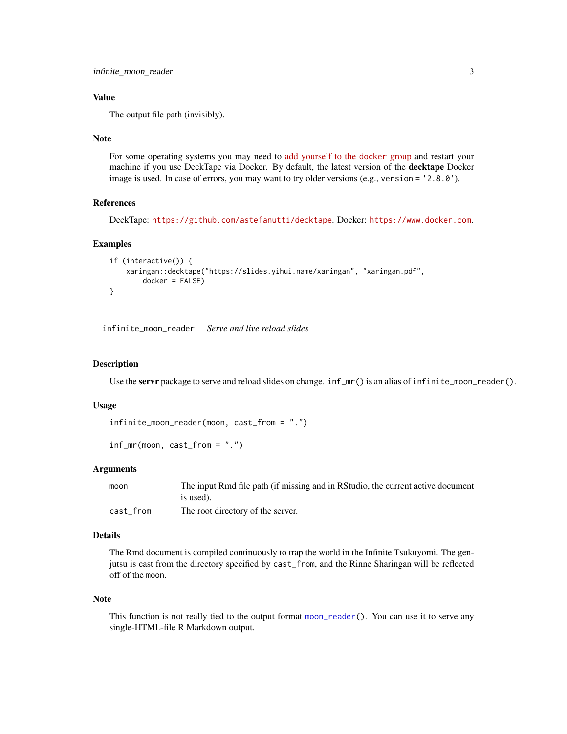## <span id="page-2-0"></span>Value

The output file path (invisibly).

#### Note

For some operating systems you may need to [add yourself to the](https://stackoverflow.com/questions/48957195) docker group and restart your machine if you use DeckTape via Docker. By default, the latest version of the **decktape** Docker image is used. In case of errors, you may want to try older versions (e.g., version = '2.8.0').

#### References

DeckTape: <https://github.com/astefanutti/decktape>. Docker: <https://www.docker.com>.

## Examples

```
if (interactive()) {
    xaringan::decktape("https://slides.yihui.name/xaringan", "xaringan.pdf",
        docker = FALSE)
}
```
infinite\_moon\_reader *Serve and live reload slides*

#### Description

Use the servr package to serve and reload slides on change.  $inf_m r()$  is an alias of  $infinite_m$ oon\_reader().

#### Usage

```
infinite_moon_reader(moon, cast_from = ".")
```

```
inf_mr(moon, cast_from = ".")
```
#### Arguments

| moon      | The input Rmd file path (if missing and in RStudio, the current active document |
|-----------|---------------------------------------------------------------------------------|
|           | is used).                                                                       |
| cast from | The root directory of the server.                                               |

## Details

The Rmd document is compiled continuously to trap the world in the Infinite Tsukuyomi. The genjutsu is cast from the directory specified by cast\_from, and the Rinne Sharingan will be reflected off of the moon.

#### Note

This function is not really tied to the output format [moon\\_reader\(](#page-3-1)). You can use it to serve any single-HTML-file R Markdown output.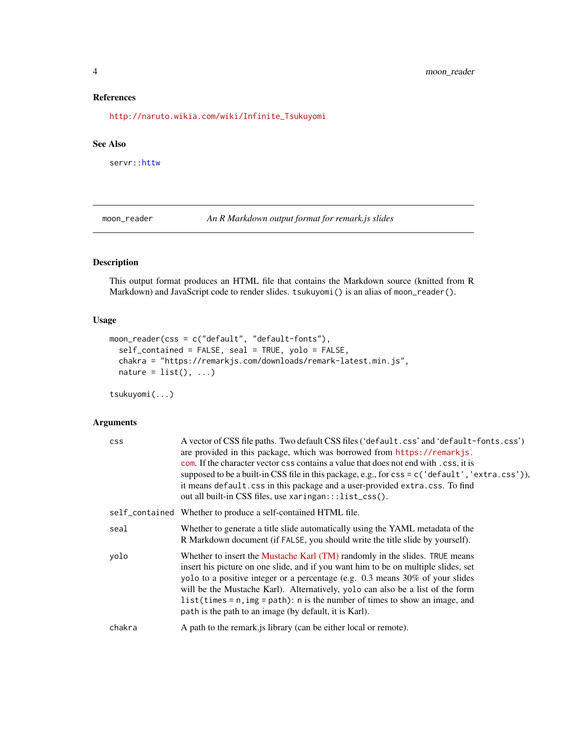## <span id="page-3-0"></span>References

[http://naruto.wikia.com/wiki/Infinite\\_Tsukuyomi](http://naruto.wikia.com/wiki/Infinite_Tsukuyomi)

### See Also

servr:[:httw](#page-0-0)

<span id="page-3-1"></span>moon\_reader *An R Markdown output format for remark.js slides*

## Description

This output format produces an HTML file that contains the Markdown source (knitted from R Markdown) and JavaScript code to render slides. tsukuyomi() is an alias of moon\_reader().

## Usage

```
moon_reader(css = c("default", "default-fonts"),
  self_contained = FALSE, seal = TRUE, yolo = FALSE,
  chakra = "https://remarkjs.com/downloads/remark-latest.min.js",
 nature = list(), ...)
```
tsukuyomi(...)

## Arguments

| css    | A vector of CSS file paths. Two default CSS files ('default.css' and 'default-fonts.css')<br>are provided in this package, which was borrowed from https://remarkjs.<br>com. If the character vector css contains a value that does not end with . css, it is<br>supposed to be a built-in CSS file in this package, e.g., for $\csc = c$ ('default', 'extra.css')),<br>it means default.css in this package and a user-provided extra.css. To find<br>out all built-in CSS files, use xaringan:::list_css(). |
|--------|---------------------------------------------------------------------------------------------------------------------------------------------------------------------------------------------------------------------------------------------------------------------------------------------------------------------------------------------------------------------------------------------------------------------------------------------------------------------------------------------------------------|
|        | self_contained Whether to produce a self-contained HTML file.                                                                                                                                                                                                                                                                                                                                                                                                                                                 |
| seal   | Whether to generate a title slide automatically using the YAML metadata of the<br>R Markdown document (if FALSE, you should write the title slide by yourself).                                                                                                                                                                                                                                                                                                                                               |
| volo   | Whether to insert the Mustache Karl (TM) randomly in the slides. TRUE means<br>insert his picture on one slide, and if you want him to be on multiple slides, set<br>yolo to a positive integer or a percentage (e.g. 0.3 means 30% of your slides<br>will be the Mustache Karl). Alternatively, yolo can also be a list of the form<br>$list$ (times = n, img = path): n is the number of times to show an image, and<br>path is the path to an image (by default, it is Karl).                              |
| chakra | A path to the remark is library (can be either local or remote).                                                                                                                                                                                                                                                                                                                                                                                                                                              |
|        |                                                                                                                                                                                                                                                                                                                                                                                                                                                                                                               |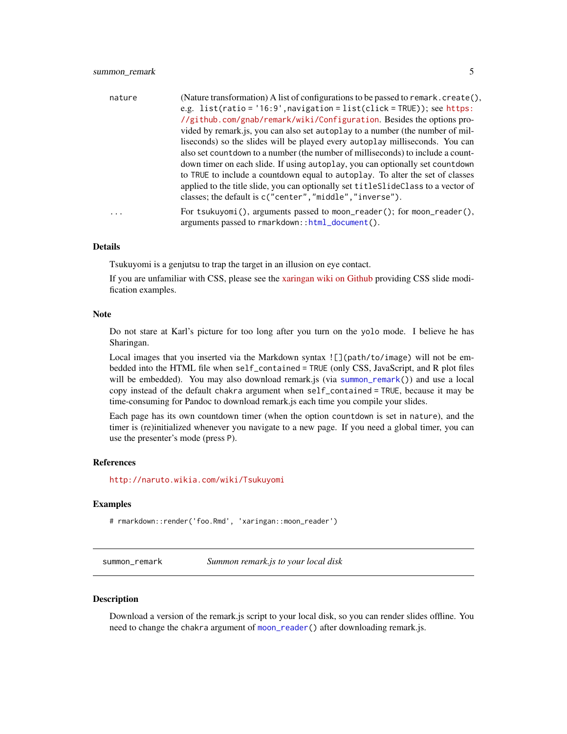<span id="page-4-0"></span>

| nature    | (Nature transformation) A list of configurations to be passed to remark. $create(),$<br>e.g. $list(ratio = '16:9', navigation = list(click = TRUE));$ see https:<br>//github.com/gnab/remark/wiki/Configuration. Besides the options pro-<br>vided by remark.js, you can also set autoplay to a number (the number of mil-<br>liseconds) so the slides will be played every autoplay milliseconds. You can |
|-----------|------------------------------------------------------------------------------------------------------------------------------------------------------------------------------------------------------------------------------------------------------------------------------------------------------------------------------------------------------------------------------------------------------------|
|           | also set count down to a number (the number of milliseconds) to include a count-<br>down timer on each slide. If using autoplay, you can optionally set countdown<br>to TRUE to include a countdown equal to autoplay. To alter the set of classes<br>applied to the title slide, you can optionally set title Slide Class to a vector of<br>classes; the default is c("center", "middle", "inverse").     |
| $\ddotsc$ | For tsukuyomi(), arguments passed to moon_reader(); for moon_reader(),<br>arguments passed to rmarkdown::html_document().                                                                                                                                                                                                                                                                                  |

#### Details

Tsukuyomi is a genjutsu to trap the target in an illusion on eye contact.

If you are unfamiliar with CSS, please see the [xaringan wiki on Github](https://github.com/yihui/xaringan/wiki) providing CSS slide modification examples.

#### Note

Do not stare at Karl's picture for too long after you turn on the yolo mode. I believe he has Sharingan.

Local images that you inserted via the Markdown syntax ! [](path/to/image) will not be embedded into the HTML file when self\_contained = TRUE (only CSS, JavaScript, and R plot files will be embedded). You may also download remark.js (via [summon\\_remark\(](#page-4-1))) and use a local copy instead of the default chakra argument when self\_contained = TRUE, because it may be time-consuming for Pandoc to download remark.js each time you compile your slides.

Each page has its own countdown timer (when the option countdown is set in nature), and the timer is (re)initialized whenever you navigate to a new page. If you need a global timer, you can use the presenter's mode (press P).

## References

<http://naruto.wikia.com/wiki/Tsukuyomi>

#### Examples

# rmarkdown::render('foo.Rmd', 'xaringan::moon\_reader')

<span id="page-4-1"></span>summon\_remark *Summon remark.js to your local disk*

#### **Description**

Download a version of the remark.js script to your local disk, so you can render slides offline. You need to change the chakra argument of [moon\\_reader\(](#page-3-1)) after downloading remark.js.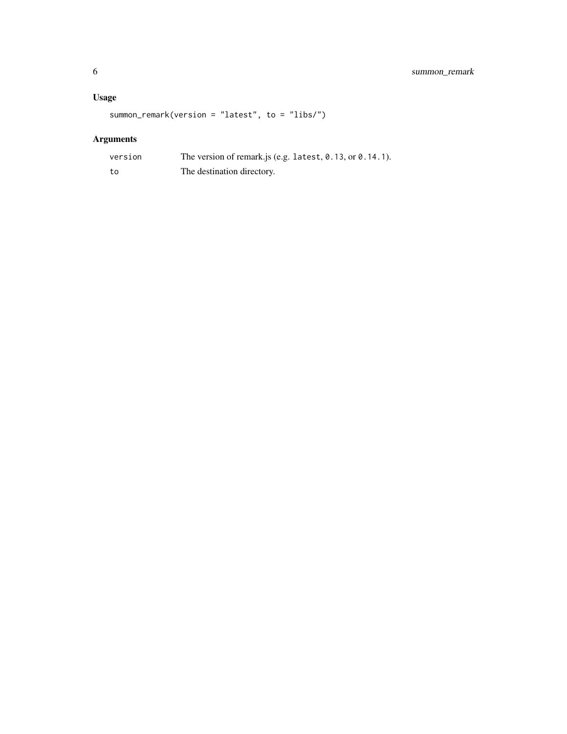## Usage

summon\_remark(version = "latest", to = "libs/")

## Arguments

| version | The version of remark.js (e.g. latest, $0.13$ , or $0.14.1$ ). |
|---------|----------------------------------------------------------------|
| to      | The destination directory.                                     |